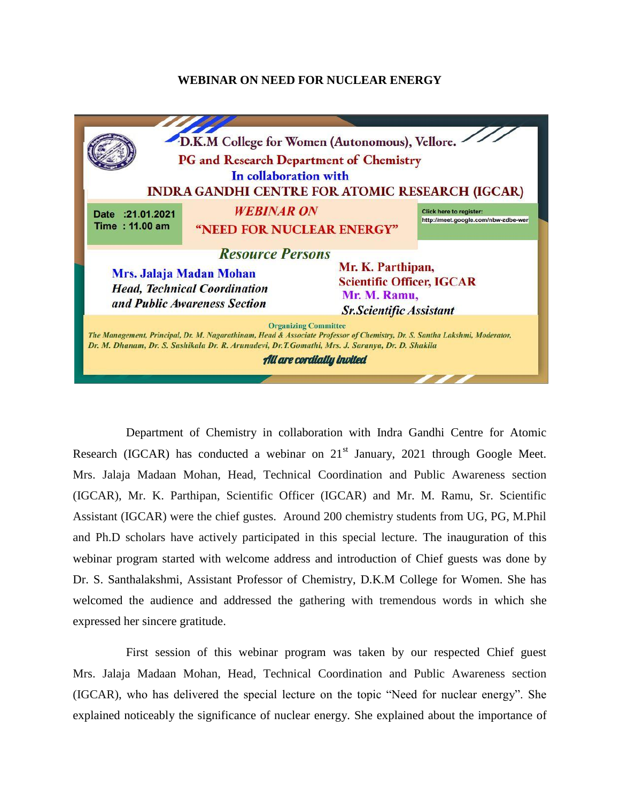## **WEBINAR ON NEED FOR NUCLEAR ENERGY**



Department of Chemistry in collaboration with Indra Gandhi Centre for Atomic Research (IGCAR) has conducted a webinar on  $21<sup>st</sup>$  January, 2021 through Google Meet. Mrs. Jalaja Madaan Mohan, Head, Technical Coordination and Public Awareness section (IGCAR), Mr. K. Parthipan, Scientific Officer (IGCAR) and Mr. M. Ramu, Sr. Scientific Assistant (IGCAR) were the chief gustes. Around 200 chemistry students from UG, PG, M.Phil and Ph.D scholars have actively participated in this special lecture. The inauguration of this webinar program started with welcome address and introduction of Chief guests was done by Dr. S. Santhalakshmi, Assistant Professor of Chemistry, D.K.M College for Women. She has welcomed the audience and addressed the gathering with tremendous words in which she expressed her sincere gratitude.

First session of this webinar program was taken by our respected Chief guest Mrs. Jalaja Madaan Mohan, Head, Technical Coordination and Public Awareness section (IGCAR), who has delivered the special lecture on the topic "Need for nuclear energy". She explained noticeably the significance of nuclear energy. She explained about the importance of